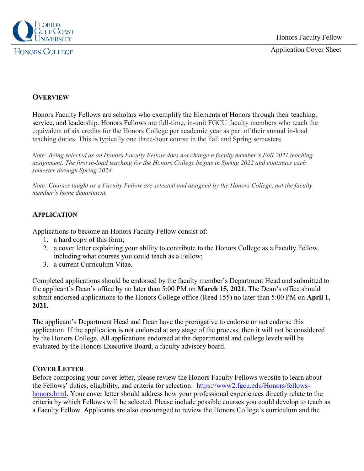

## **HONORS COLLEGE**

# **OVERVIEW**

Honors Faculty Fellows are scholars who exemplify the Elements of Honors through their teaching, service, and leadership. Honors Fellows are full-time, in-unit FGCU faculty members who teach the equivalent of six credits for the Honors College per academic year as part of their annual in-load teaching duties. This is typically one three-hour course in the Fall and Spring semesters.

*Note: Being selected as an Honors Faculty Fellow does not change a faculty member's Fall 2021 teaching assignment. The first in-load teaching for the Honors College begins in Spring 2022 and continues each semester through Spring 2024.* 

*Note: Courses taught as a Faculty Fellow are selected and assigned by the Honors College, not the faculty member's home department.* 

### **APPLICATION**

Applications to become an Honors Faculty Fellow consist of:

- 1. a hard copy of this form;
- 2. a cover letter explaining your ability to contribute to the Honors College as a Faculty Fellow, including what courses you could teach as a Fellow;
- 3. a current Curriculum Vitae.

Completed applications should be endorsed by the faculty member's Department Head and submitted to the applicant's Dean's office by no later than 5:00 PM on **March 15, 2021**. The Dean's office should submit endorsed applications to the Honors College office (Reed 155) no later than 5:00 PM on **April 1, 2021.** 

The applicant's Department Head and Dean have the prerogative to endorse or not endorse this application. If the application is not endorsed at any stage of the process, then it will not be considered by the Honors College. All applications endorsed at the departmental and college levels will be evaluated by the Honors Executive Board, a faculty advisory board.

### **COVER LETTER**

Before composing your cover letter, please review the Honors Faculty Fellows website to learn about the Fellows' duties, eligibility, and criteria for selection: [https://www2.fgcu.edu/Honors/fellows](https://www2.fgcu.edu/Honors/fellows-honors.html)[honors.html.](https://www2.fgcu.edu/Honors/fellows-honors.html) Your cover letter should address how your professional experiences directly relate to the criteria by which Fellows will be selected. Please include possible courses you could develop to teach as a Faculty Fellow. Applicants are also encouraged to review the Honors College's curriculum and the